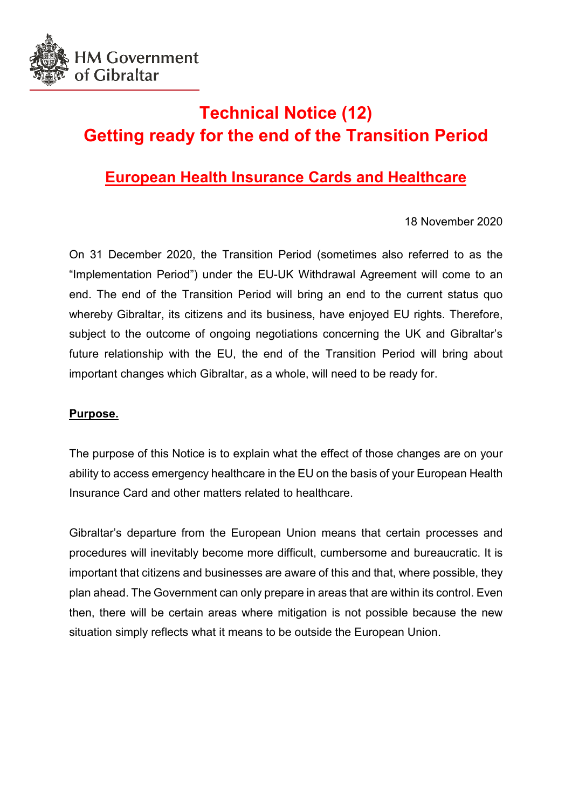

# **Technical Notice (12) Getting ready for the end of the Transition Period**

# **European Health Insurance Cards and Healthcare**

18 November 2020

On 31 December 2020, the Transition Period (sometimes also referred to as the "Implementation Period") under the EU-UK Withdrawal Agreement will come to an end. The end of the Transition Period will bring an end to the current status quo whereby Gibraltar, its citizens and its business, have enjoyed EU rights. Therefore, subject to the outcome of ongoing negotiations concerning the UK and Gibraltar's future relationship with the EU, the end of the Transition Period will bring about important changes which Gibraltar, as a whole, will need to be ready for.

### **Purpose.**

The purpose of this Notice is to explain what the effect of those changes are on your ability to access emergency healthcare in the EU on the basis of your European Health Insurance Card and other matters related to healthcare.

Gibraltar's departure from the European Union means that certain processes and procedures will inevitably become more difficult, cumbersome and bureaucratic. It is important that citizens and businesses are aware of this and that, where possible, they plan ahead. The Government can only prepare in areas that are within its control. Even then, there will be certain areas where mitigation is not possible because the new situation simply reflects what it means to be outside the European Union.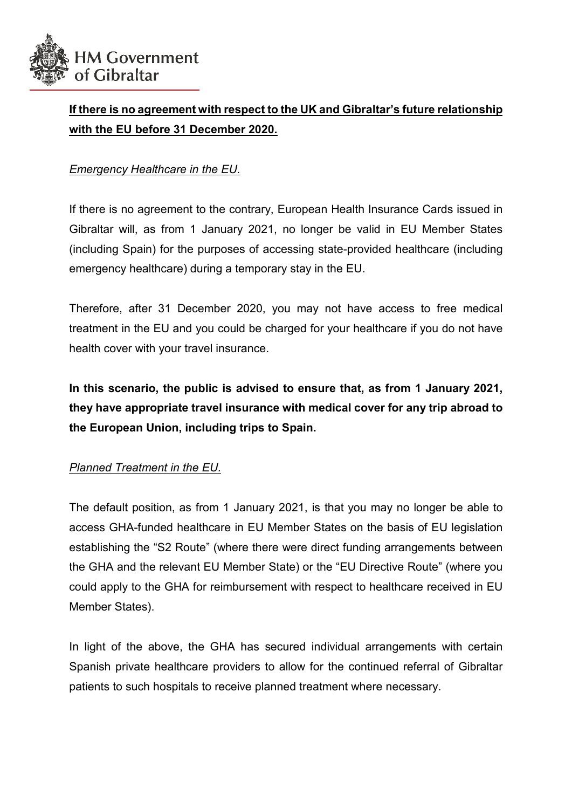

# **If there is no agreement with respect to the UK and Gibraltar's future relationship with the EU before 31 December 2020.**

## *Emergency Healthcare in the EU.*

If there is no agreement to the contrary, European Health Insurance Cards issued in Gibraltar will, as from 1 January 2021, no longer be valid in EU Member States (including Spain) for the purposes of accessing state-provided healthcare (including emergency healthcare) during a temporary stay in the EU.

Therefore, after 31 December 2020, you may not have access to free medical treatment in the EU and you could be charged for your healthcare if you do not have health cover with your travel insurance.

**In this scenario, the public is advised to ensure that, as from 1 January 2021, they have appropriate travel insurance with medical cover for any trip abroad to the European Union, including trips to Spain.** 

### *Planned Treatment in the EU.*

The default position, as from 1 January 2021, is that you may no longer be able to access GHA-funded healthcare in EU Member States on the basis of EU legislation establishing the "S2 Route" (where there were direct funding arrangements between the GHA and the relevant EU Member State) or the "EU Directive Route" (where you could apply to the GHA for reimbursement with respect to healthcare received in EU Member States).

In light of the above, the GHA has secured individual arrangements with certain Spanish private healthcare providers to allow for the continued referral of Gibraltar patients to such hospitals to receive planned treatment where necessary.